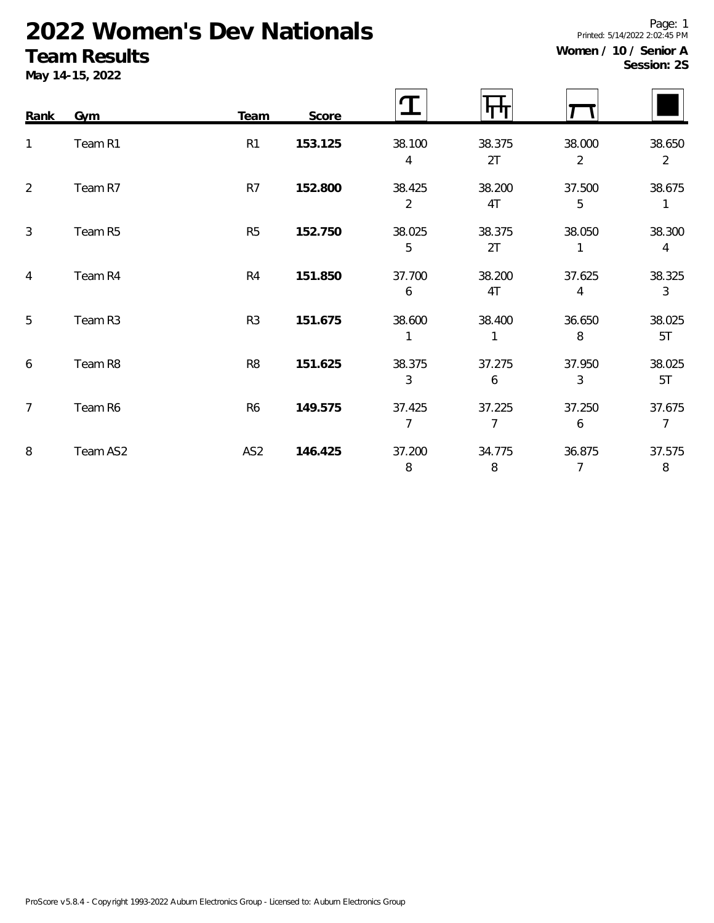# **2022 Women's Dev Nationals**

## **Team Results**

| Women / 10 / Senior A |             |  |
|-----------------------|-------------|--|
|                       | Session: 2S |  |

Printed: 5/14/2022 2:02:45 PM

Page: 1

|      | Fearll Results<br>May 14-15, 2022 |                |         |             |              |             | Session: 29 |
|------|-----------------------------------|----------------|---------|-------------|--------------|-------------|-------------|
| Rank | Gym                               | Team           | Score   |             | П            |             |             |
|      | Team R1                           | R <sub>1</sub> | 153.125 | 38.100<br>4 | 38.375<br>2T | 38.000<br>2 | 38.650<br>2 |
| 2    | Team R7                           | R <sub>7</sub> | 152.800 | 38.425<br>2 | 38.200<br>4T | 37.500<br>5 | 38.675      |

| 2. | Team R7  | R/              | 152.800 | 38.425<br>2 | 38.200<br>4T | 37.500<br>5 | 38.675       |
|----|----------|-----------------|---------|-------------|--------------|-------------|--------------|
| 3  | Team R5  | R <sub>5</sub>  | 152.750 | 38.025<br>5 | 38.375<br>2T | 38.050      | 38.300<br>4  |
| 4  | Team R4  | R4              | 151.850 | 37.700<br>6 | 38.200<br>4T | 37.625<br>4 | 38.325<br>3  |
| 5  | Team R3  | R <sub>3</sub>  | 151.675 | 38.600      | 38.400       | 36.650<br>8 | 38.025<br>5T |
| 6  | Team R8  | R <sub>8</sub>  | 151.625 | 38.375<br>3 | 37.275<br>6  | 37.950<br>3 | 38.025<br>5T |
| 7  | Team R6  | R <sub>6</sub>  | 149.575 | 37.425      | 37.225       | 37.250<br>6 | 37.675       |
| 8  | Team AS2 | AS <sub>2</sub> | 146.425 | 37.200<br>8 | 34.775<br>8  | 36.875      | 37.575<br>8  |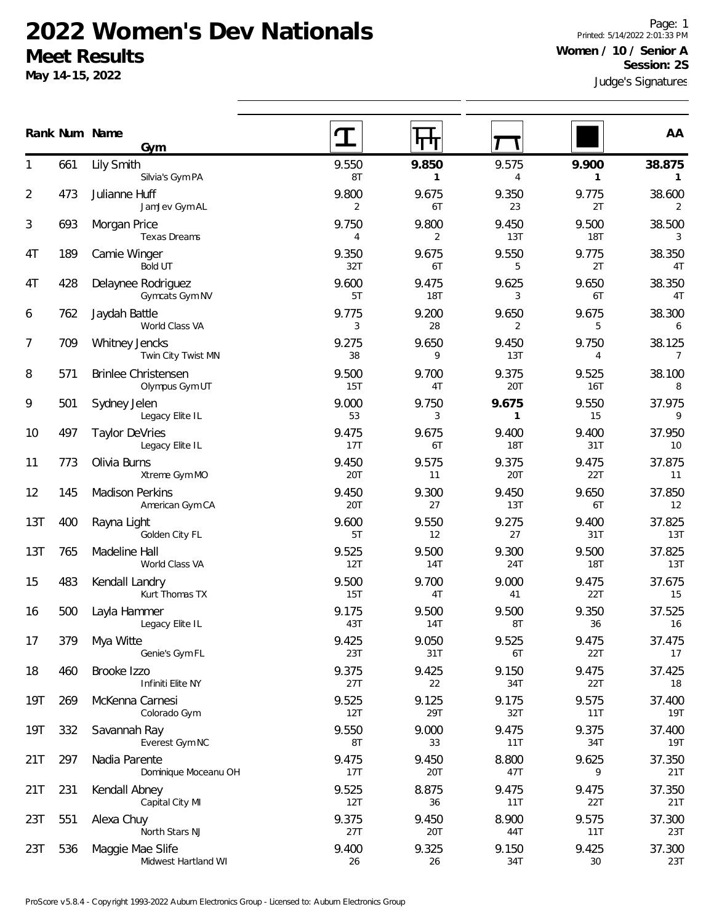#### **2022 Women's Dev Nationals Meet Results**

**May 14-15, 2022**

Judge's Signatures Page: 1 Printed: 5/14/2022 2:01:33 PM **Women / 10 / Senior A Session: 2S**

|     |     | Gym                                   |              | 11 U                  | v                     |                       |                          |
|-----|-----|---------------------------------------|--------------|-----------------------|-----------------------|-----------------------|--------------------------|
| 1   | 661 | Lily Smith<br>Silvia's Gym PA         | 9.550<br>8T  | 9.850<br>$\mathbf{1}$ | 9.575<br>4            | 9.900<br>$\mathbf{1}$ | 38.875<br>$\mathbf{1}$   |
| 2   | 473 | Julianne Huff<br>JamJev Gym AL        | 9.800<br>2   | 9.675<br>6T           | 9.350<br>23           | 9.775<br>2T           | 38.600<br>2              |
| 3   | 693 | Morgan Price<br>Texas Dreams          | 9.750<br>4   | 9.800<br>2            | 9.450<br>13T          | 9.500<br><b>18T</b>   | 38.500<br>3              |
| 4T  | 189 | Camie Winger<br>Bold UT               | 9.350<br>32T | 9.675<br>6T           | 9.550<br>5            | 9.775<br>2T           | 38.350<br>4T             |
| 4T  | 428 | Delaynee Rodriguez<br>Gymcats Gym NV  | 9.600<br>5T  | 9.475<br>18T          | 9.625<br>3            | 9.650<br>6T           | 38.350<br>4T             |
| 6   | 762 | Jaydah Battle<br>World Class VA       | 9.775<br>3   | 9.200<br>28           | 9.650<br>2            | 9.675<br>5            | 38.300<br>6              |
| 7   | 709 | Whitney Jencks<br>Twin City Twist MN  | 9.275<br>38  | 9.650<br>9            | 9.450<br>13T          | 9.750<br>4            | 38.125<br>$\overline{7}$ |
| 8   | 571 | Brinlee Christensen<br>Olympus Gym UT | 9.500<br>15T | 9.700<br>4T           | 9.375<br>20T          | 9.525<br>16T          | 38.100<br>8              |
| 9   | 501 | Sydney Jelen<br>Legacy Elite IL       | 9.000<br>53  | 9.750<br>3            | 9.675<br>$\mathbf{1}$ | 9.550<br>15           | 37.975<br>9              |
| 10  | 497 | Taylor DeVries<br>Legacy Elite IL     | 9.475<br>17T | 9.675<br>6T           | 9.400<br><b>18T</b>   | 9.400<br>31T          | 37.950<br>10             |
| 11  | 773 | Olivia Burns<br>Xtreme Gym MO         | 9.450<br>20T | 9.575<br>11           | 9.375<br><b>20T</b>   | 9.475<br>22T          | 37.875<br>11             |
| 12  | 145 | Madison Perkins<br>American Gym CA    | 9.450<br>20T | 9.300<br>27           | 9.450<br>13T          | 9.650<br>6T           | 37.850<br>12             |
| 13T | 400 | Rayna Light<br>Golden City FL         | 9.600<br>5T  | 9.550<br>12           | 9.275<br>27           | 9.400<br>31T          | 37.825<br>13T            |
| 13T | 765 | Madeline Hall<br>World Class VA       | 9.525<br>12T | 9.500<br><b>14T</b>   | 9.300<br>24T          | 9.500<br><b>18T</b>   | 37.825<br>13T            |
| 15  | 483 | Kendall Landry<br>Kurt Thomas TX      | 9.500<br>15T | 9.700<br>4T           | 9.000<br>41           | 9.475<br>22T          | 37.675<br>15             |
| 16  | 500 | Layla Hammer<br>Legacy Elite IL       | 9.175<br>43T | 9.500<br><b>14T</b>   | 9.500<br>8T           | 9.350<br>36           | 37.525<br>16             |
| 17  | 379 | Mya Witte<br>Genie's Gym FL           | 9.425<br>23T | 9.050<br>31T          | 9.525<br>6T           | 9.475<br>22T          | 37.475<br>17             |
| 18  | 460 | Brooke Izzo<br>Infiniti Elite NY      | 9.375<br>27T | 9.425<br>22           | 9.150<br>34T          | 9.475<br>22T          | 37.425<br>18             |
| 19T | 269 | McKenna Carnesi<br>Colorado Gym       | 9.525<br>12T | 9.125<br>29T          | 9.175<br>32T          | 9.575<br>11T          | 37.400<br><b>19T</b>     |
| 19T | 332 | Savannah Ray<br>Everest Gym NC        | 9.550<br>8T  | 9.000<br>33           | 9.475<br>11T          | 9.375<br>34T          | 37.400<br>19T            |
| 21T | 297 | Nadia Parente<br>Dominique Moceanu OH | 9.475<br>17T | 9.450<br>20T          | 8.800<br>47T          | 9.625<br>9            | 37.350<br>21T            |
| 21T | 231 | Kendall Abnev                         | 9.525        | 8.875                 | 9.475                 | 9.475                 | 37.350                   |

21T 9.525 8.875 9.475 9.475 37.350

23T 9.375 9.450 8.900 9.575 37.300

536 Maggie Mae Slife 23T 9.400 9.325 9.150 9.425 37.300

12T 36 11T 22T 21T

27T 20T 44T 11T 23T

26 26 34T 30 23T

**Num Name Rank AA**

Capital City MI

North Stars NJ

Midwest Hartland WI

551 Alexa Chuy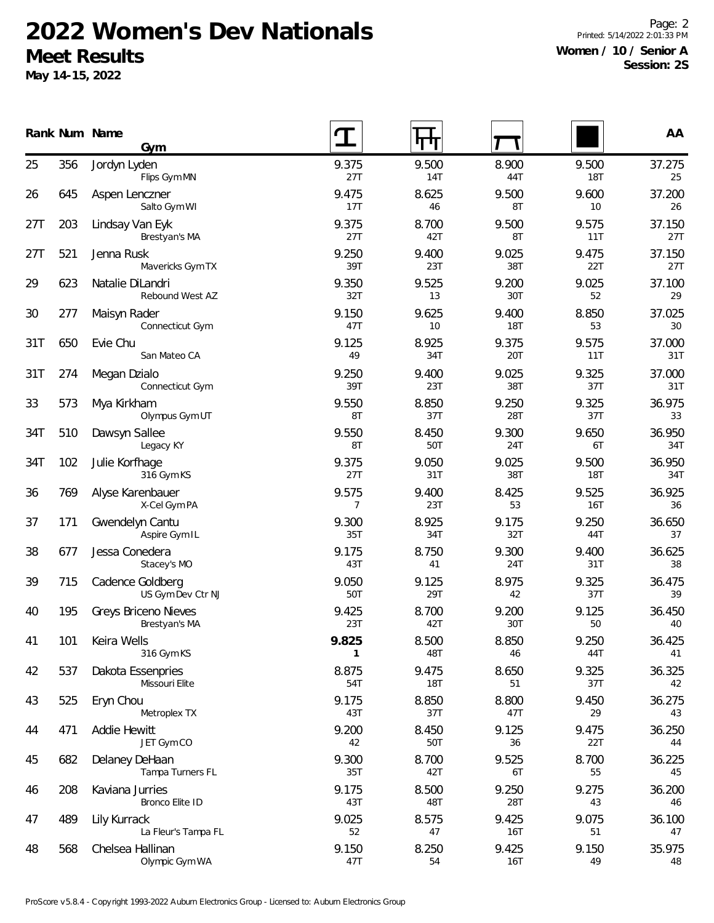## **2022 Women's Dev Nationals Meet Results**

**May 14-15, 2022**

Page: 2 Printed: 5/14/2022 2:01:33 PM **Women / 10 / Senior A Session: 2S**

|     |     | Rank Num Name<br>Gym                  |              | Ч            |                     |                     | AA            |
|-----|-----|---------------------------------------|--------------|--------------|---------------------|---------------------|---------------|
| 25  | 356 | Jordyn Lyden<br>Flips Gym MN          | 9.375<br>27T | 9.500<br>14T | 8.900<br>44T        | 9.500<br><b>18T</b> | 37.275<br>25  |
| 26  | 645 | Aspen Lenczner<br>Salto Gym WI        | 9.475<br>17T | 8.625<br>46  | 9.500<br>8T         | 9.600<br>10         | 37.200<br>26  |
| 27T | 203 | Lindsay Van Eyk<br>Brestyan's MA      | 9.375<br>27T | 8.700<br>42T | 9.500<br>8T         | 9.575<br>11T        | 37.150<br>27T |
| 27T | 521 | Jenna Rusk<br>Mavericks Gym TX        | 9.250<br>39T | 9.400<br>23T | 9.025<br>38T        | 9.475<br>22T        | 37.150<br>27T |
| 29  | 623 | Natalie DiLandri<br>Rebound West AZ   | 9.350<br>32T | 9.525<br>13  | 9.200<br>30T        | 9.025<br>52         | 37.100<br>29  |
| 30  | 277 | Maisyn Rader<br>Connecticut Gym       | 9.150<br>47T | 9.625<br>10  | 9.400<br><b>18T</b> | 8.850<br>53         | 37.025<br>30  |
| 31T | 650 | Evie Chu<br>San Mateo CA              | 9.125<br>49  | 8.925<br>34T | 9.375<br>20T        | 9.575<br>11T        | 37.000<br>31T |
| 31T | 274 | Megan Dzialo<br>Connecticut Gym       | 9.250<br>39T | 9.400<br>23T | 9.025<br>38T        | 9.325<br>37T        | 37.000<br>31T |
| 33  | 573 | Mya Kirkham<br>Olympus Gym UT         | 9.550<br>8T  | 8.850<br>37T | 9.250<br>28T        | 9.325<br>37T        | 36.975<br>33  |
| 34T | 510 | Dawsyn Sallee<br>Legacy KY            | 9.550<br>8T  | 8.450<br>50T | 9.300<br>24T        | 9.650<br>6T         | 36.950<br>34T |
| 34T | 102 | Julie Korfhage<br>316 Gym KS          | 9.375<br>27T | 9.050<br>31T | 9.025<br>38T        | 9.500<br><b>18T</b> | 36.950<br>34T |
| 36  | 769 | Alyse Karenbauer<br>X-Cel Gym PA      | 9.575<br>7   | 9.400<br>23T | 8.425<br>53         | 9.525<br>16T        | 36.925<br>36  |
| 37  | 171 | Gwendelyn Cantu<br>Aspire Gym IL      | 9.300<br>35T | 8.925<br>34T | 9.175<br>32T        | 9.250<br>44T        | 36.650<br>37  |
| 38  | 677 | Jessa Conedera<br>Stacey's MO         | 9.175<br>43T | 8.750<br>41  | 9.300<br>24T        | 9.400<br>31T        | 36.625<br>38  |
| 39  | 715 | Cadence Goldberg<br>US Gym Dev Ctr NJ | 9.050<br>50T | 9.125<br>29T | 8.975<br>42         | 9.325<br>37T        | 36.475<br>39  |
| 40  | 195 | Greys Briceno Nieves<br>Brestyan's MA | 9.425<br>23T | 8.700<br>42T | 9.200<br>30T        | 9.125<br>50         | 36.450<br>40  |
| 41  | 101 | Keira Wells<br>316 Gym KS             | 9.825<br>1   | 8.500<br>48T | 8.850<br>46         | 9.250<br>44T        | 36.425<br>41  |
| 42  | 537 | Dakota Essenpries<br>Missouri Elite   | 8.875<br>54T | 9.475<br>18T | 8.650<br>51         | 9.325<br>37T        | 36.325<br>42  |
| 43  | 525 | Eryn Chou<br>Metroplex TX             | 9.175<br>43T | 8.850<br>37T | 8.800<br>47T        | 9.450<br>29         | 36.275<br>43  |
| 44  | 471 | Addie Hewitt<br>JET Gym CO            | 9.200<br>42  | 8.450<br>50T | 9.125<br>36         | 9.475<br>22T        | 36.250<br>44  |
| 45  | 682 | Delaney DeHaan<br>Tampa Turners FL    | 9.300<br>35T | 8.700<br>42T | 9.525<br>6T         | 8.700<br>55         | 36.225<br>45  |
| 46  | 208 | Kaviana Jurries<br>Bronco Elite ID    | 9.175<br>43T | 8.500<br>48T | 9.250<br>28T        | 9.275<br>43         | 36.200<br>46  |
| 47  | 489 | Lily Kurrack<br>La Fleur's Tampa FL   | 9.025<br>52  | 8.575<br>47  | 9.425<br>16T        | 9.075<br>51         | 36.100<br>47  |
| 48  | 568 | Chelsea Hallinan<br>Olympic Gym WA    | 9.150<br>47T | 8.250<br>54  | 9.425<br>16T        | 9.150<br>49         | 35.975<br>48  |